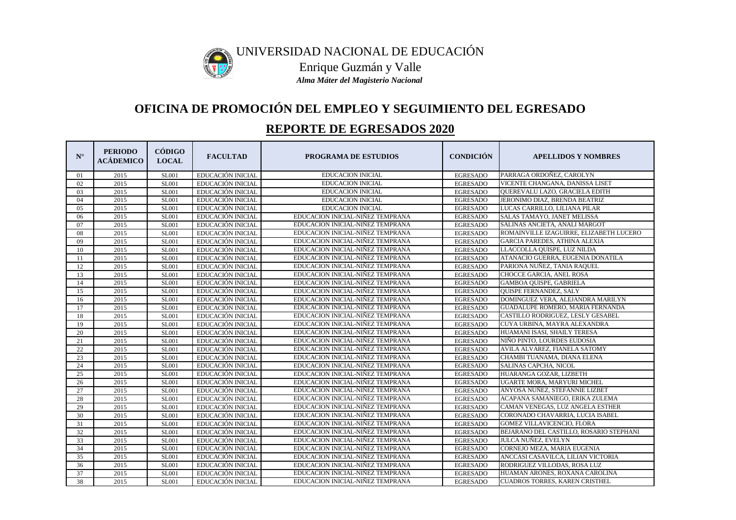| $N^{\circ}$ | <b>PERIODO</b><br><b>ACÁDEMICO</b> | <b>CÓDIGO</b><br><b>LOCAL</b> | <b>FACULTAD</b>          | <b>PROGRAMA DE ESTUDIOS</b>      | <b>CONDICIÓN</b> | <b>APELLIDOS Y NOMBRES</b>              |
|-------------|------------------------------------|-------------------------------|--------------------------|----------------------------------|------------------|-----------------------------------------|
| 01          | 2015                               | <b>SL001</b>                  | EDUCACIÓN INICIAL        | <b>EDUCACION INICIAL</b>         | <b>EGRESADO</b>  | PARRAGA ORDOÑEZ, CAROLYN                |
| 02          | 2015                               | SL001                         | EDUCACIÓN INICIAL        | <b>EDUCACION INICIAL</b>         | <b>EGRESADO</b>  | VICENTE CHANGANA, DANISSA LISET         |
| 03          | 2015                               | <b>SL001</b>                  | EDUCACIÓN INICIAL        | <b>EDUCACION INICIAL</b>         | <b>EGRESADO</b>  | QUEREVALU LAZO, GRACIELA EDITH          |
| 04          | 2015                               | SL001                         | EDUCACIÓN INICIAL        | <b>EDUCACION INICIAL</b>         | <b>EGRESADO</b>  | JERONIMO DIAZ, BRENDA BEATRIZ           |
| 05          | 2015                               | <b>SL001</b>                  | <b>EDUCACIÓN INICIAL</b> | <b>EDUCACION INICIAL</b>         | <b>EGRESADO</b>  | LUCAS CARRILLO, LILIANA PILAR           |
| 06          | 2015                               | SL001                         | EDUCACIÓN INICIAL        | EDUCACION INICIAL-NIÑEZ TEMPRANA | <b>EGRESADO</b>  | SALAS TAMAYO, JANET MELISSA             |
| 07          | 2015                               | <b>SL001</b>                  | EDUCACIÓN INICIAL        | EDUCACION INICIAL-NIÑEZ TEMPRANA | <b>EGRESADO</b>  | SALINAS ANCIETA, ANALI MARGOT           |
| 08          | 2015                               | <b>SL001</b>                  | EDUCACIÓN INICIAL        | EDUCACION INICIAL-NIÑEZ TEMPRANA | <b>EGRESADO</b>  | ROMAINVILLE IZAGUIRRE, ELIZABETH LUCERO |
| 09          | 2015                               | <b>SL001</b>                  | EDUCACIÓN INICIAL        | EDUCACION INICIAL-NIÑEZ TEMPRANA | <b>EGRESADO</b>  | <b>GARCIA PAREDES, ATHINA ALEXIA</b>    |
| 10          | 2015                               | <b>SL001</b>                  | EDUCACIÓN INICIAL        | EDUCACION INICIAL-NIÑEZ TEMPRANA | <b>EGRESADO</b>  | LLACCOLLA QUISPE, LUZ NILDA             |
| 11          | 2015                               | <b>SL001</b>                  | EDUCACIÓN INICIAL        | EDUCACION INICIAL-NIÑEZ TEMPRANA | <b>EGRESADO</b>  | ATANACIO GUERRA, EUGENIA DONATILA       |
| 12          | 2015                               | SL001                         | EDUCACIÓN INICIAL        | EDUCACION INICIAL-NIÑEZ TEMPRANA | <b>EGRESADO</b>  | PARIONA NUÑEZ, TANIA RAQUEL             |
| 13          | 2015                               | SL001                         | EDUCACIÓN INICIAL        | EDUCACION INICIAL-NIÑEZ TEMPRANA | <b>EGRESADO</b>  | CHOCCE GARCIA, ANEL ROSA                |
| 14          | 2015                               | <b>SL001</b>                  | EDUCACIÓN INICIAL        | EDUCACION INICIAL-NIÑEZ TEMPRANA | <b>EGRESADO</b>  | GAMBOA QUISPE, GABRIELA                 |
| 15          | 2015                               | <b>SL001</b>                  | EDUCACIÓN INICIAL        | EDUCACION INICIAL-NIÑEZ TEMPRANA | <b>EGRESADO</b>  | QUISPE FERNANDEZ, SALY                  |
| 16          | 2015                               | <b>SL001</b>                  | EDUCACIÓN INICIAL        | EDUCACION INICIAL-NIÑEZ TEMPRANA | <b>EGRESADO</b>  | DOMINGUEZ VERA, ALEJANDRA MARILYN       |
| 17          | 2015                               | <b>SL001</b>                  | EDUCACIÓN INICIAL        | EDUCACION INICIAL-NIÑEZ TEMPRANA | <b>EGRESADO</b>  | GUADALUPE ROMERO, MARIA FERNANDA        |
| 18          | 2015                               | <b>SL001</b>                  | EDUCACIÓN INICIAL        | EDUCACION INICIAL-NIÑEZ TEMPRANA | <b>EGRESADO</b>  | CASTILLO RODRIGUEZ, LESLY GESABEL       |
| 19          | 2015                               | <b>SL001</b>                  | EDUCACIÓN INICIAL        | EDUCACION INICIAL-NIÑEZ TEMPRANA | <b>EGRESADO</b>  | CUYA URBINA, MAYRA ALEXANDRA            |
| 20          | 2015                               | <b>SL001</b>                  | EDUCACIÓN INICIAL        | EDUCACION INICIAL-NIÑEZ TEMPRANA | <b>EGRESADO</b>  | HUAMANI ISASI, SHAILY TERESA            |
| 21          | 2015                               | <b>SL001</b>                  | EDUCACIÓN INICIAL        | EDUCACION INICIAL-NIÑEZ TEMPRANA | <b>EGRESADO</b>  | NIÑO PINTO, LOURDES EUDOSIA             |
| 22          | 2015                               | <b>SL001</b>                  | EDUCACIÓN INICIAL        | EDUCACION INICIAL-NIÑEZ TEMPRANA | <b>EGRESADO</b>  | AVILA ALVAREZ, FIANELA SATOMY           |
| 23          | 2015                               | <b>SL001</b>                  | EDUCACIÓN INICIAL        | EDUCACION INICIAL-NIÑEZ TEMPRANA | <b>EGRESADO</b>  | CHAMBI TUANAMA, DIANA ELENA             |
| 24          | 2015                               | <b>SL001</b>                  | EDUCACIÓN INICIAL        | EDUCACION INICIAL-NIÑEZ TEMPRANA | <b>EGRESADO</b>  | <b>SALINAS CAPCHA, NICOL</b>            |
| 25          | 2015                               | <b>SL001</b>                  | EDUCACIÓN INICIAL        | EDUCACION INICIAL-NIÑEZ TEMPRANA | <b>EGRESADO</b>  | HUARANGA GOZAR, LIZBETH                 |
| 26          | 2015                               | <b>SL001</b>                  | EDUCACIÓN INICIAL        | EDUCACION INICIAL-NIÑEZ TEMPRANA | <b>EGRESADO</b>  | UGARTE MORA, MARYURI MICHEL             |
| 27          | 2015                               | <b>SL001</b>                  | EDUCACIÓN INICIAL        | EDUCACION INICIAL-NIÑEZ TEMPRANA | <b>EGRESADO</b>  | ANYOSA NUÑEZ, STEFANNIE LIZBET          |
| 28          | 2015                               | <b>SL001</b>                  | EDUCACIÓN INICIAL        | EDUCACION INICIAL-NIÑEZ TEMPRANA | <b>EGRESADO</b>  | ACAPANA SAMANIEGO, ERIKA ZULEMA         |
| 29          | 2015                               | <b>SL001</b>                  | EDUCACIÓN INICIAL        | EDUCACION INICIAL-NIÑEZ TEMPRANA | <b>EGRESADO</b>  | CAMAN VENEGAS, LUZ ANGELA ESTHER        |
| 30          | 2015                               | <b>SL001</b>                  | EDUCACIÓN INICIAL        | EDUCACION INICIAL-NIÑEZ TEMPRANA | <b>EGRESADO</b>  | CORONADO CHAVARRIA, LUCIA ISABEL        |
| 31          | 2015                               | <b>SL001</b>                  | EDUCACIÓN INICIAL        | EDUCACION INICIAL-NIÑEZ TEMPRANA | <b>EGRESADO</b>  | <b>GOMEZ VILLAVICENCIO, FLORA</b>       |
| 32          | 2015                               | <b>SL001</b>                  | EDUCACIÓN INICIAL        | EDUCACION INICIAL-NIÑEZ TEMPRANA | <b>EGRESADO</b>  | BEJARANO DEL CASTILLO, ROSARIO STEPHANI |
| 33          | 2015                               | <b>SL001</b>                  | EDUCACIÓN INICIAL        | EDUCACION INICIAL-NIÑEZ TEMPRANA | <b>EGRESADO</b>  | JULCA NUÑEZ, EVELYN                     |
| 34          | 2015                               | <b>SL001</b>                  | EDUCACIÓN INICIAL        | EDUCACION INICIAL-NIÑEZ TEMPRANA | <b>EGRESADO</b>  | CORNEJO MEZA, MARIA EUGENIA             |
| 35          | 2015                               | <b>SL001</b>                  | EDUCACIÓN INICIAL        | EDUCACION INICIAL-NIÑEZ TEMPRANA | <b>EGRESADO</b>  | ANCCASI CASAVILCA, LILIAN VICTORIA      |
| 36          | 2015                               | <b>SL001</b>                  | EDUCACIÓN INICIAL        | EDUCACION INICIAL-NIÑEZ TEMPRANA | <b>EGRESADO</b>  | RODRIGUEZ VILLODAS, ROSA LUZ            |
| 37          | 2015                               | <b>SL001</b>                  | <b>EDUCACIÓN INICIAL</b> | EDUCACION INICIAL-NIÑEZ TEMPRANA | <b>EGRESADO</b>  | HUAMAN ARONES, ROXANA CAROLINA          |
| 38          | 2015                               | <b>SL001</b>                  | EDUCACIÓN INICIAL        | EDUCACION INICIAL-NIÑEZ TEMPRANA | <b>EGRESADO</b>  | <b>CUADROS TORRES, KAREN CRISTHEL</b>   |



# **OFICINA DE PROMOCIÓN DEL EMPLEO Y SEGUIMIENTO DEL EGRESADO**

## **REPORTE DE EGRESADOS 2020**